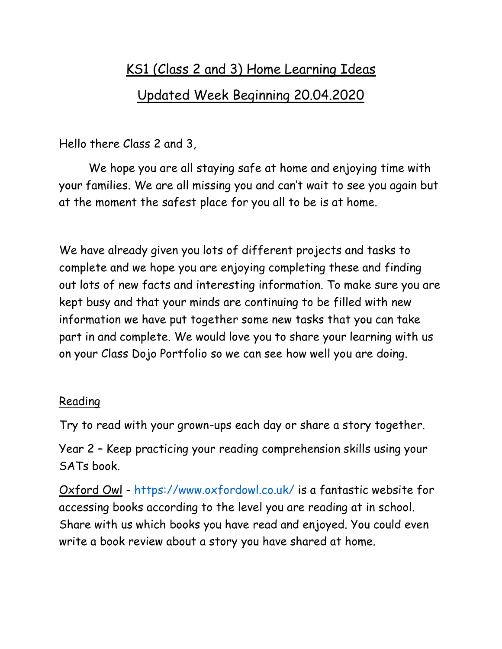# KS1 (Class 2 and 3) Home Learning Ideas Updated Week Beginning 20.04.2020

Hello there Class 2 and 3,

We hope you are all staying safe at home and enjoying time with your families. We are all missing you and can't wait to see you again but at the moment the safest place for you all to be is at home.

We have already given you lots of different projects and tasks to complete and we hope you are enjoying completing these and finding out lots of new facts and interesting information. To make sure you are kept busy and that your minds are continuing to be filled with new information we have put together some new tasks that you can take part in and complete. We would love you to share your learning with us on your Class Dojo Portfolio so we can see how well you are doing.

### Reading

Try to read with your grown-ups each day or share a story together.

Year 2 – Keep practicing your reading comprehension skills using your SATs book.

Oxford Owl - <https://www.oxfordowl.co.uk/> is a fantastic website for accessing books according to the level you are reading at in school. Share with us which books you have read and enjoyed. You could even write a book review about a story you have shared at home.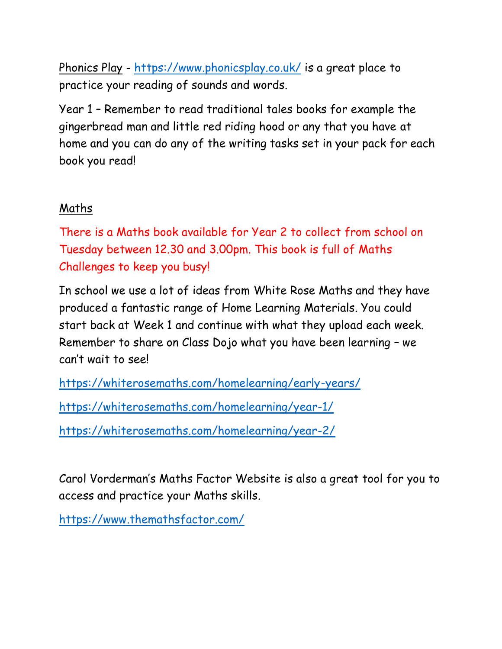Phonics Play - <https://www.phonicsplay.co.uk/> is a great place to practice your reading of sounds and words.

Year 1 – Remember to read traditional tales books for example the gingerbread man and little red riding hood or any that you have at home and you can do any of the writing tasks set in your pack for each book you read!

#### Maths

There is a Maths book available for Year 2 to collect from school on Tuesday between 12.30 and 3.00pm. This book is full of Maths Challenges to keep you busy!

In school we use a lot of ideas from White Rose Maths and they have produced a fantastic range of Home Learning Materials. You could start back at Week 1 and continue with what they upload each week. Remember to share on Class Dojo what you have been learning – we can't wait to see!

<https://whiterosemaths.com/homelearning/early-years/>

<https://whiterosemaths.com/homelearning/year-1/>

<https://whiterosemaths.com/homelearning/year-2/>

Carol Vorderman's Maths Factor Website is also a great tool for you to access and practice your Maths skills.

<https://www.themathsfactor.com/>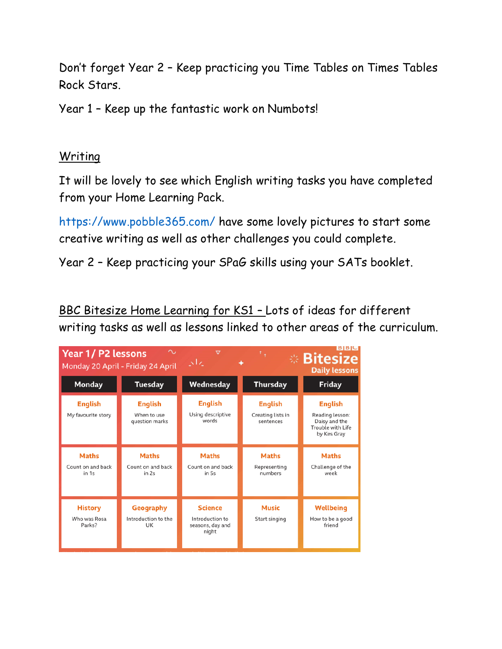Don't forget Year 2 – Keep practicing you Time Tables on Times Tables Rock Stars.

Year 1 – Keep up the fantastic work on Numbots!

#### **Writing**

It will be lovely to see which English writing tasks you have completed from your Home Learning Pack.

<https://www.pobble365.com/> have some lovely pictures to start some creative writing as well as other challenges you could complete.

Year 2 – Keep practicing your SPaG skills using your SATs booklet.

BBC Bitesize Home Learning for KS1 – Lots of ideas for different writing tasks as well as lessons linked to other areas of the curriculum.

| <b>Year 1/ P2 lessons</b>                  | Monday 20 April - Friday 24 April               | $\overline{\nabla}$<br>إيجابي                                  | ۰,                                               | B B C <br><b><i><b>Bitesize</b></i></b><br><b>Daily lessons</b>                        |
|--------------------------------------------|-------------------------------------------------|----------------------------------------------------------------|--------------------------------------------------|----------------------------------------------------------------------------------------|
| <b>Monday</b>                              | <b>Tuesday</b>                                  | Wednesday                                                      | <b>Thursday</b>                                  | <b>Friday</b>                                                                          |
| <b>English</b><br>My favourite story       | <b>English</b><br>When to use<br>question marks | <b>English</b><br>Using descriptive<br>words                   | <b>English</b><br>Creating lists in<br>sentences | <b>English</b><br>Reading lesson:<br>Daisy and the<br>Trouble with Life<br>by Kes Gray |
| <b>Maths</b><br>Count on and back<br>in 1s | <b>Maths</b><br>Count on and back<br>in 2s      | <b>Maths</b><br>Count on and back<br>in 5s                     | <b>Maths</b><br>Representing<br>numbers          | <b>Maths</b><br>Challenge of the<br>week                                               |
| <b>History</b><br>Who was Rosa<br>Parks?   | Geography<br>Introduction to the<br>UK          | <b>Science</b><br>Introduction to<br>seasons, day and<br>night | <b>Music</b><br>Start singing                    | <b>Wellbeing</b><br>How to be a good<br>friend                                         |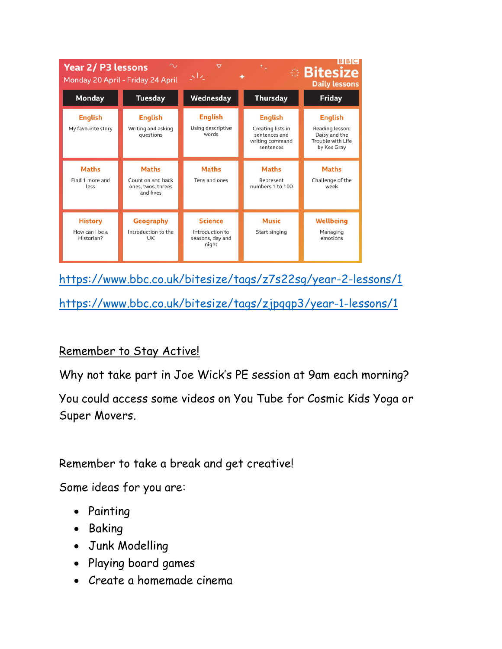| <b>BBC</b><br>$\sim$<br><b>Year 2/ P3 lessons</b><br>ᢦ<br>٠,<br>※ Bitesize<br>إيراني<br>Monday 20 April - Friday 24 April<br><b>Daily lessons</b> |                                                                      |                                              |                                                                                      |                                                                                        |  |  |
|---------------------------------------------------------------------------------------------------------------------------------------------------|----------------------------------------------------------------------|----------------------------------------------|--------------------------------------------------------------------------------------|----------------------------------------------------------------------------------------|--|--|
| <b>Monday</b>                                                                                                                                     | <b>Tuesday</b>                                                       | Wednesday                                    | <b>Thursday</b>                                                                      | <b>Friday</b>                                                                          |  |  |
| <b>English</b><br>My favourite story                                                                                                              | <b>English</b><br>Writing and asking<br>questions                    | <b>English</b><br>Using descriptive<br>words | <b>English</b><br>Creating lists in<br>sentences and<br>writing command<br>sentences | <b>English</b><br>Reading lesson:<br>Daisy and the<br>Trouble with Life<br>by Kes Gray |  |  |
|                                                                                                                                                   |                                                                      |                                              |                                                                                      |                                                                                        |  |  |
| <b>Maths</b><br>Find 1 more and<br>less                                                                                                           | <b>Maths</b><br>Count on and back<br>ones, twos, threes<br>and fives | <b>Maths</b><br>Tens and ones                | <b>Maths</b><br>Represent<br>numbers 1 to 100                                        | <b>Maths</b><br>Challenge of the<br>week                                               |  |  |

<https://www.bbc.co.uk/bitesize/tags/z7s22sg/year-2-lessons/1>

<https://www.bbc.co.uk/bitesize/tags/zjpqqp3/year-1-lessons/1>

## Remember to Stay Active!

Why not take part in Joe Wick's PE session at 9am each morning?

You could access some videos on You Tube for Cosmic Kids Yoga or Super Movers.

Remember to take a break and get creative!

Some ideas for you are:

- Painting
- Baking
- Junk Modelling
- Playing board games
- Create a homemade cinema